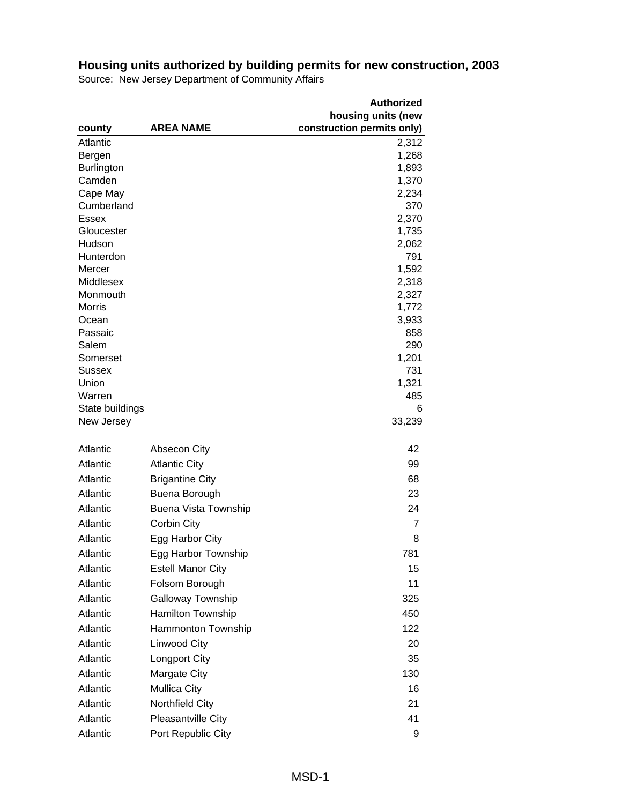|                                                          | <b>Authorized</b> |
|----------------------------------------------------------|-------------------|
| housing units (new                                       |                   |
| construction permits only)<br><b>AREA NAME</b><br>county |                   |
| Atlantic                                                 | 2,312             |
| Bergen                                                   | 1,268             |
| <b>Burlington</b>                                        | 1,893             |
| Camden                                                   | 1,370             |
| Cape May                                                 | 2,234             |
| Cumberland                                               | 370               |
| Essex                                                    | 2,370             |
| Gloucester                                               | 1,735             |
| Hudson                                                   | 2,062             |
| Hunterdon<br>Mercer                                      | 791<br>1,592      |
| Middlesex                                                | 2,318             |
| Monmouth                                                 | 2,327             |
| <b>Morris</b>                                            | 1,772             |
| Ocean                                                    | 3,933             |
| Passaic                                                  | 858               |
| Salem                                                    | 290               |
| Somerset                                                 | 1,201             |
| <b>Sussex</b>                                            | 731               |
| Union                                                    | 1,321             |
| Warren                                                   | 485               |
| State buildings                                          | 6                 |
| New Jersey                                               | 33,239            |
| Atlantic<br><b>Absecon City</b>                          | 42                |
|                                                          |                   |
| Atlantic<br><b>Atlantic City</b>                         | 99                |
| Atlantic<br><b>Brigantine City</b>                       | 68                |
| Atlantic<br>Buena Borough                                | 23                |
| Atlantic<br><b>Buena Vista Township</b>                  | 24                |
| Atlantic<br>Corbin City                                  | $\overline{7}$    |
| Atlantic<br>Egg Harbor City                              | 8                 |
| Atlantic<br>Egg Harbor Township                          | 781               |
| Atlantic<br><b>Estell Manor City</b>                     | 15                |
| Atlantic<br>Folsom Borough                               | 11                |
| Atlantic<br><b>Galloway Township</b>                     | 325               |
| Atlantic<br>Hamilton Township                            | 450               |
| Atlantic<br>Hammonton Township                           | 122               |
| Atlantic<br>Linwood City                                 | 20                |
| Atlantic<br><b>Longport City</b>                         | 35                |
| Atlantic<br>Margate City                                 | 130               |
| Atlantic<br><b>Mullica City</b>                          | 16                |
| Northfield City<br>Atlantic                              | 21                |
| Atlantic<br>Pleasantville City                           | 41                |
| Atlantic<br>Port Republic City                           | 9                 |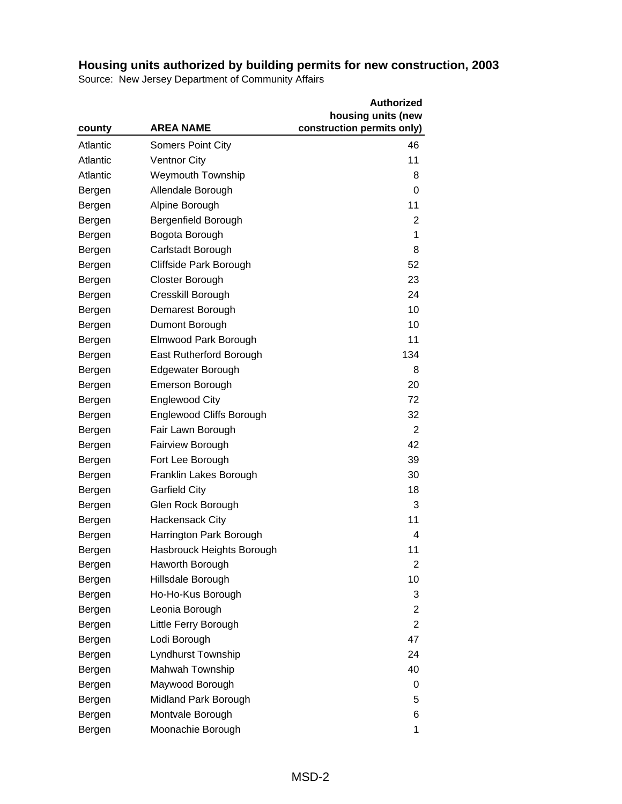|          |                           | <b>Authorized</b>          |
|----------|---------------------------|----------------------------|
|          |                           | housing units (new         |
| county   | <b>AREA NAME</b>          | construction permits only) |
| Atlantic | <b>Somers Point City</b>  | 46                         |
| Atlantic | <b>Ventnor City</b>       | 11                         |
| Atlantic | <b>Weymouth Township</b>  | 8                          |
| Bergen   | Allendale Borough         | 0                          |
| Bergen   | Alpine Borough            | 11                         |
| Bergen   | Bergenfield Borough       | 2                          |
| Bergen   | Bogota Borough            | 1                          |
| Bergen   | Carlstadt Borough         | 8                          |
| Bergen   | Cliffside Park Borough    | 52                         |
| Bergen   | Closter Borough           | 23                         |
| Bergen   | Cresskill Borough         | 24                         |
| Bergen   | Demarest Borough          | 10                         |
| Bergen   | Dumont Borough            | 10                         |
| Bergen   | Elmwood Park Borough      | 11                         |
| Bergen   | East Rutherford Borough   | 134                        |
| Bergen   | Edgewater Borough         | 8                          |
| Bergen   | <b>Emerson Borough</b>    | 20                         |
| Bergen   | <b>Englewood City</b>     | 72                         |
| Bergen   | Englewood Cliffs Borough  | 32                         |
| Bergen   | Fair Lawn Borough         | $\overline{2}$             |
| Bergen   | <b>Fairview Borough</b>   | 42                         |
| Bergen   | Fort Lee Borough          | 39                         |
| Bergen   | Franklin Lakes Borough    | 30                         |
| Bergen   | <b>Garfield City</b>      | 18                         |
| Bergen   | Glen Rock Borough         | 3                          |
| Bergen   | <b>Hackensack City</b>    | 11                         |
| Bergen   | Harrington Park Borough   | 4                          |
| Bergen   | Hasbrouck Heights Borough | 11                         |
| Bergen   | Haworth Borough           | 2                          |
| Bergen   | Hillsdale Borough         | 10                         |
| Bergen   | Ho-Ho-Kus Borough         | 3                          |
| Bergen   | Leonia Borough            | $\overline{2}$             |
| Bergen   | Little Ferry Borough      | 2                          |
| Bergen   | Lodi Borough              | 47                         |
| Bergen   | Lyndhurst Township        | 24                         |
| Bergen   | Mahwah Township           | 40                         |
| Bergen   | Maywood Borough           | 0                          |
| Bergen   | Midland Park Borough      | 5                          |
| Bergen   | Montvale Borough          | 6                          |
| Bergen   | Moonachie Borough         | 1                          |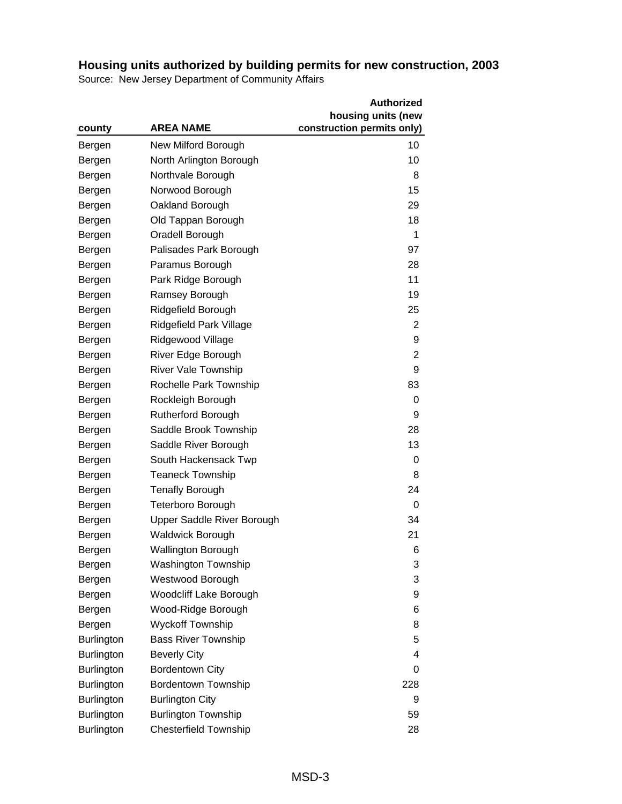|                   |                            | <b>Authorized</b>          |
|-------------------|----------------------------|----------------------------|
|                   |                            | housing units (new         |
| county            | <b>AREA NAME</b>           | construction permits only) |
| Bergen            | New Milford Borough        | 10                         |
| Bergen            | North Arlington Borough    | 10                         |
| Bergen            | Northvale Borough          | 8                          |
| Bergen            | Norwood Borough            | 15                         |
| Bergen            | Oakland Borough            | 29                         |
| Bergen            | Old Tappan Borough         | 18                         |
| Bergen            | Oradell Borough            | 1                          |
| Bergen            | Palisades Park Borough     | 97                         |
| Bergen            | Paramus Borough            | 28                         |
| Bergen            | Park Ridge Borough         | 11                         |
| Bergen            | Ramsey Borough             | 19                         |
| Bergen            | Ridgefield Borough         | 25                         |
| Bergen            | Ridgefield Park Village    | $\overline{2}$             |
| Bergen            | Ridgewood Village          | 9                          |
| Bergen            | River Edge Borough         | $\overline{2}$             |
| Bergen            | <b>River Vale Township</b> | 9                          |
| Bergen            | Rochelle Park Township     | 83                         |
| Bergen            | Rockleigh Borough          | 0                          |
| Bergen            | Rutherford Borough         | 9                          |
| Bergen            | Saddle Brook Township      | 28                         |
| Bergen            | Saddle River Borough       | 13                         |
| Bergen            | South Hackensack Twp       | 0                          |
| Bergen            | <b>Teaneck Township</b>    | 8                          |
| Bergen            | <b>Tenafly Borough</b>     | 24                         |
| Bergen            | <b>Teterboro Borough</b>   | 0                          |
| Bergen            | Upper Saddle River Borough | 34                         |
| Bergen            | <b>Waldwick Borough</b>    | 21                         |
| Bergen            | <b>Wallington Borough</b>  | 6                          |
| Bergen            | <b>Washington Township</b> | 3                          |
| Bergen            | Westwood Borough           | 3                          |
| Bergen            | Woodcliff Lake Borough     | 9                          |
| Bergen            | Wood-Ridge Borough         | 6                          |
| Bergen            | <b>Wyckoff Township</b>    | 8                          |
| <b>Burlington</b> | <b>Bass River Township</b> | 5                          |
| <b>Burlington</b> | <b>Beverly City</b>        | 4                          |
| <b>Burlington</b> | <b>Bordentown City</b>     | 0                          |
| <b>Burlington</b> | <b>Bordentown Township</b> | 228                        |
| <b>Burlington</b> | <b>Burlington City</b>     | 9                          |
| Burlington        | <b>Burlington Township</b> | 59                         |
| <b>Burlington</b> | Chesterfield Township      | 28                         |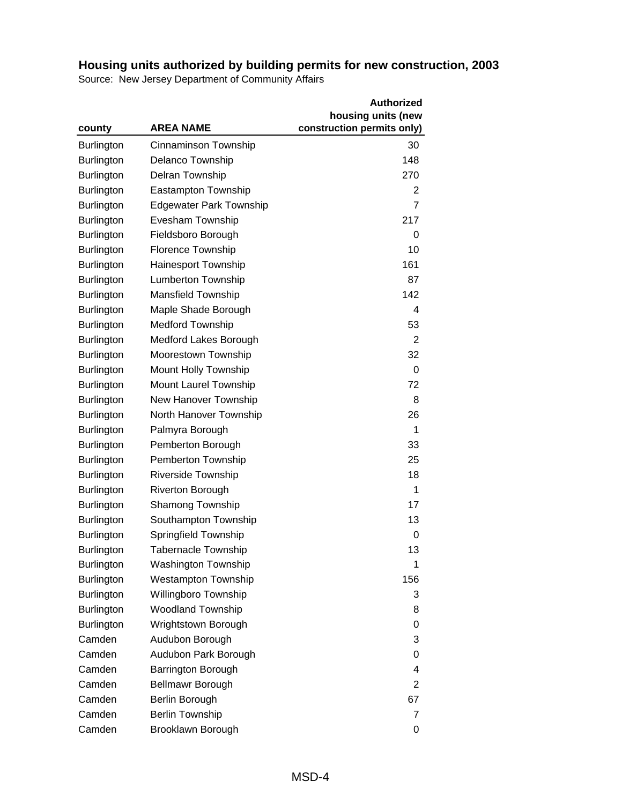|                   |                                | <b>Authorized</b>          |
|-------------------|--------------------------------|----------------------------|
|                   |                                | housing units (new         |
| county            | <b>AREA NAME</b>               | construction permits only) |
| <b>Burlington</b> | Cinnaminson Township           | 30                         |
| Burlington        | <b>Delanco Township</b>        | 148                        |
| <b>Burlington</b> | Delran Township                | 270                        |
| <b>Burlington</b> | <b>Eastampton Township</b>     | 2                          |
| <b>Burlington</b> | <b>Edgewater Park Township</b> | 7                          |
| <b>Burlington</b> | Evesham Township               | 217                        |
| Burlington        | Fieldsboro Borough             | 0                          |
| <b>Burlington</b> | Florence Township              | 10                         |
| <b>Burlington</b> | <b>Hainesport Township</b>     | 161                        |
| <b>Burlington</b> | <b>Lumberton Township</b>      | 87                         |
| <b>Burlington</b> | <b>Mansfield Township</b>      | 142                        |
| <b>Burlington</b> | Maple Shade Borough            | $\overline{4}$             |
| <b>Burlington</b> | <b>Medford Township</b>        | 53                         |
| <b>Burlington</b> | Medford Lakes Borough          | 2                          |
| <b>Burlington</b> | Moorestown Township            | 32                         |
| <b>Burlington</b> | Mount Holly Township           | 0                          |
| <b>Burlington</b> | Mount Laurel Township          | 72                         |
| <b>Burlington</b> | New Hanover Township           | 8                          |
| <b>Burlington</b> | North Hanover Township         | 26                         |
| <b>Burlington</b> | Palmyra Borough                | 1                          |
| <b>Burlington</b> | Pemberton Borough              | 33                         |
| <b>Burlington</b> | Pemberton Township             | 25                         |
| <b>Burlington</b> | Riverside Township             | 18                         |
| <b>Burlington</b> | <b>Riverton Borough</b>        | 1                          |
| <b>Burlington</b> | <b>Shamong Township</b>        | 17                         |
| <b>Burlington</b> | Southampton Township           | 13                         |
| <b>Burlington</b> | Springfield Township           | 0                          |
| <b>Burlington</b> | <b>Tabernacle Township</b>     | 13                         |
| <b>Burlington</b> | <b>Washington Township</b>     | 1                          |
| <b>Burlington</b> | <b>Westampton Township</b>     | 156                        |
| <b>Burlington</b> | Willingboro Township           | 3                          |
| <b>Burlington</b> | <b>Woodland Township</b>       | 8                          |
| <b>Burlington</b> | Wrightstown Borough            | 0                          |
| Camden            | Audubon Borough                | 3                          |
| Camden            | Audubon Park Borough           | 0                          |
| Camden            | Barrington Borough             | 4                          |
| Camden            | <b>Bellmawr Borough</b>        | 2                          |
| Camden            | Berlin Borough                 | 67                         |
| Camden            | <b>Berlin Township</b>         | 7                          |
| Camden            | Brooklawn Borough              | 0                          |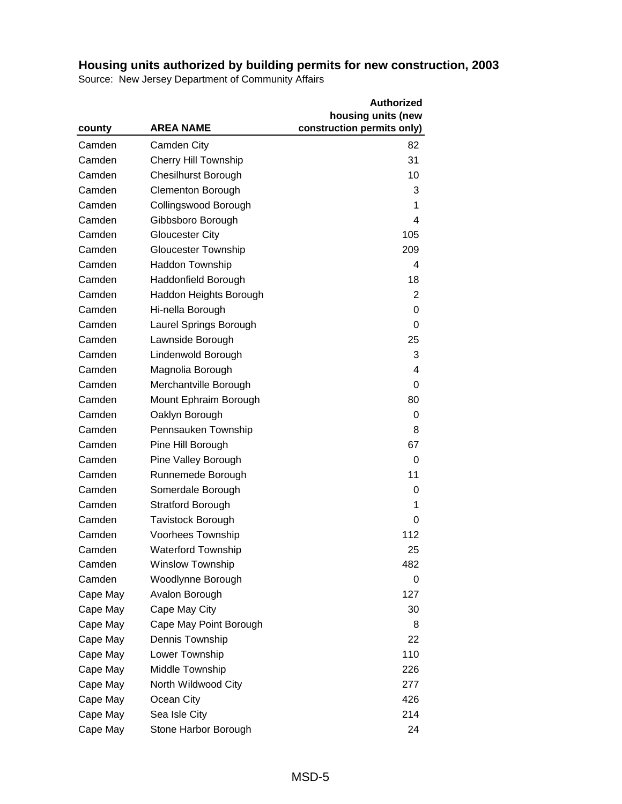|          |                             | <b>Authorized</b>          |
|----------|-----------------------------|----------------------------|
|          |                             | housing units (new         |
| county   | <b>AREA NAME</b>            | construction permits only) |
| Camden   | Camden City                 | 82                         |
| Camden   | <b>Cherry Hill Township</b> | 31                         |
| Camden   | <b>Chesilhurst Borough</b>  | 10                         |
| Camden   | <b>Clementon Borough</b>    | 3                          |
| Camden   | Collingswood Borough        | 1                          |
| Camden   | Gibbsboro Borough           | 4                          |
| Camden   | <b>Gloucester City</b>      | 105                        |
| Camden   | <b>Gloucester Township</b>  | 209                        |
| Camden   | <b>Haddon Township</b>      | 4                          |
| Camden   | Haddonfield Borough         | 18                         |
| Camden   | Haddon Heights Borough      | $\overline{2}$             |
| Camden   | Hi-nella Borough            | 0                          |
| Camden   | Laurel Springs Borough      | 0                          |
| Camden   | Lawnside Borough            | 25                         |
| Camden   | Lindenwold Borough          | 3                          |
| Camden   | Magnolia Borough            | $\overline{4}$             |
| Camden   | Merchantville Borough       | 0                          |
| Camden   | Mount Ephraim Borough       | 80                         |
| Camden   | Oaklyn Borough              | 0                          |
| Camden   | Pennsauken Township         | 8                          |
| Camden   | Pine Hill Borough           | 67                         |
| Camden   | Pine Valley Borough         | 0                          |
| Camden   | Runnemede Borough           | 11                         |
| Camden   | Somerdale Borough           | 0                          |
| Camden   | <b>Stratford Borough</b>    | 1                          |
| Camden   | <b>Tavistock Borough</b>    | 0                          |
| Camden   | Voorhees Township           | 112                        |
| Camden   | <b>Waterford Township</b>   | 25                         |
| Camden   | <b>Winslow Township</b>     | 482                        |
| Camden   | Woodlynne Borough           | 0                          |
| Cape May | Avalon Borough              | 127                        |
| Cape May | Cape May City               | 30                         |
| Cape May | Cape May Point Borough      | 8                          |
| Cape May | Dennis Township             | 22                         |
| Cape May | Lower Township              | 110                        |
| Cape May | Middle Township             | 226                        |
| Cape May | North Wildwood City         | 277                        |
| Cape May | Ocean City                  | 426                        |
| Cape May | Sea Isle City               | 214                        |
| Cape May | Stone Harbor Borough        | 24                         |
|          |                             |                            |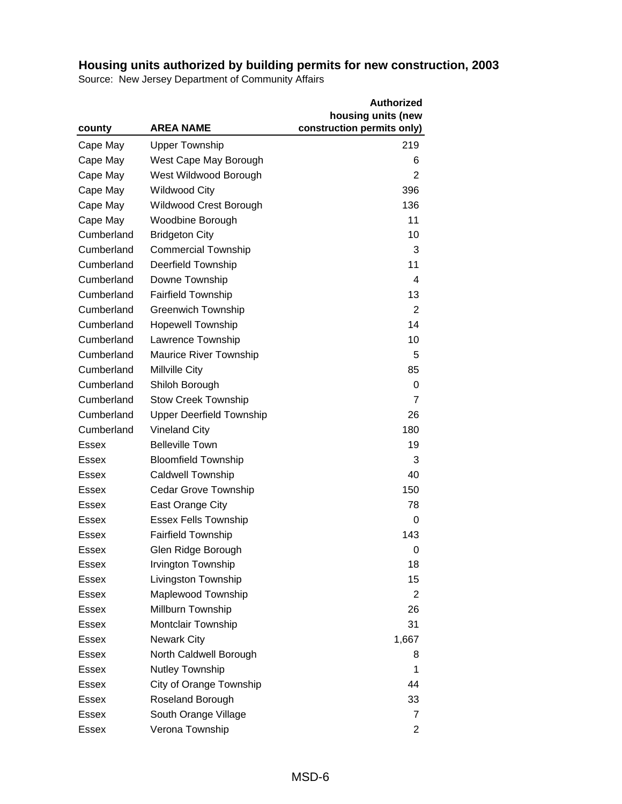|              |                                 | <b>Authorized</b>          |
|--------------|---------------------------------|----------------------------|
|              |                                 | housing units (new         |
| county       | <b>AREA NAME</b>                | construction permits only) |
| Cape May     | <b>Upper Township</b>           | 219                        |
| Cape May     | West Cape May Borough           | 6                          |
| Cape May     | West Wildwood Borough           | 2                          |
| Cape May     | <b>Wildwood City</b>            | 396                        |
| Cape May     | Wildwood Crest Borough          | 136                        |
| Cape May     | Woodbine Borough                | 11                         |
| Cumberland   | <b>Bridgeton City</b>           | 10                         |
| Cumberland   | <b>Commercial Township</b>      | 3                          |
| Cumberland   | Deerfield Township              | 11                         |
| Cumberland   | Downe Township                  | $\overline{4}$             |
| Cumberland   | <b>Fairfield Township</b>       | 13                         |
| Cumberland   | Greenwich Township              | 2                          |
| Cumberland   | <b>Hopewell Township</b>        | 14                         |
| Cumberland   | Lawrence Township               | 10                         |
| Cumberland   | <b>Maurice River Township</b>   | 5                          |
| Cumberland   | Millville City                  | 85                         |
| Cumberland   | Shiloh Borough                  | 0                          |
| Cumberland   | <b>Stow Creek Township</b>      | 7                          |
| Cumberland   | <b>Upper Deerfield Township</b> | 26                         |
| Cumberland   | <b>Vineland City</b>            | 180                        |
| <b>Essex</b> | <b>Belleville Town</b>          | 19                         |
| Essex        | <b>Bloomfield Township</b>      | 3                          |
| <b>Essex</b> | <b>Caldwell Township</b>        | 40                         |
| <b>Essex</b> | <b>Cedar Grove Township</b>     | 150                        |
| <b>Essex</b> | East Orange City                | 78                         |
| Essex        | <b>Essex Fells Township</b>     | 0                          |
| Essex        | <b>Fairfield Township</b>       | 143                        |
| Essex        | Glen Ridge Borough              | 0                          |
| Essex        | Irvington Township              | 18                         |
| <b>Essex</b> | Livingston Township             | 15                         |
| Essex        | Maplewood Township              | 2                          |
| <b>Essex</b> | Millburn Township               | 26                         |
| Essex        | Montclair Township              | 31                         |
| Essex        | <b>Newark City</b>              | 1,667                      |
| Essex        | North Caldwell Borough          | 8                          |
| <b>Essex</b> | Nutley Township                 | 1                          |
| Essex        | City of Orange Township         | 44                         |
| Essex        | Roseland Borough                | 33                         |
| Essex        | South Orange Village            | 7                          |
| Essex        | Verona Township                 | $\overline{2}$             |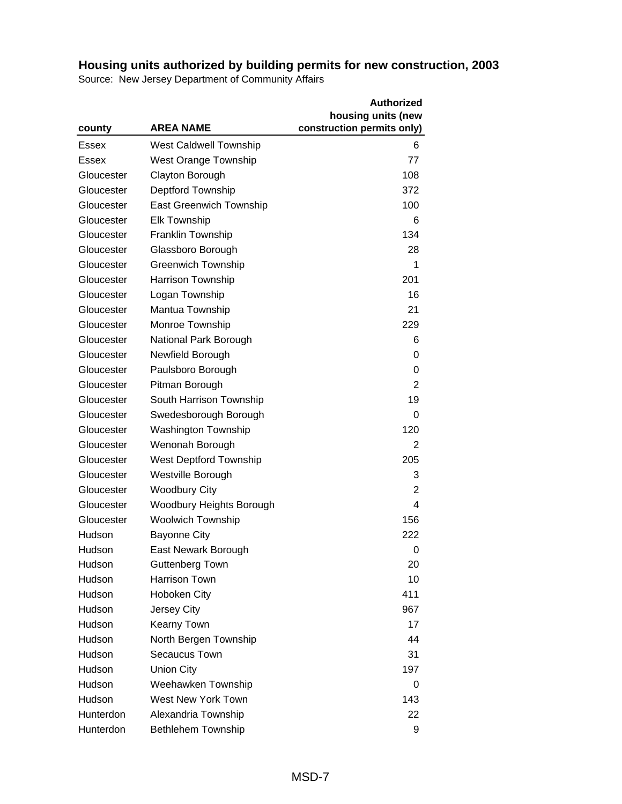|            |                               | <b>Authorized</b>          |
|------------|-------------------------------|----------------------------|
|            |                               | housing units (new         |
| county     | <b>AREA NAME</b>              | construction permits only) |
| Essex      | <b>West Caldwell Township</b> | 6                          |
| Essex      | <b>West Orange Township</b>   | 77                         |
| Gloucester | Clayton Borough               | 108                        |
| Gloucester | Deptford Township             | 372                        |
| Gloucester | East Greenwich Township       | 100                        |
| Gloucester | <b>Elk Township</b>           | 6                          |
| Gloucester | Franklin Township             | 134                        |
| Gloucester | Glassboro Borough             | 28                         |
| Gloucester | <b>Greenwich Township</b>     | 1                          |
| Gloucester | <b>Harrison Township</b>      | 201                        |
| Gloucester | Logan Township                | 16                         |
| Gloucester | Mantua Township               | 21                         |
| Gloucester | Monroe Township               | 229                        |
| Gloucester | National Park Borough         | 6                          |
| Gloucester | Newfield Borough              | 0                          |
| Gloucester | Paulsboro Borough             | 0                          |
| Gloucester | Pitman Borough                | 2                          |
| Gloucester | South Harrison Township       | 19                         |
| Gloucester | Swedesborough Borough         | 0                          |
| Gloucester | <b>Washington Township</b>    | 120                        |
| Gloucester | Wenonah Borough               | $\overline{2}$             |
| Gloucester | <b>West Deptford Township</b> | 205                        |
| Gloucester | Westville Borough             | 3                          |
| Gloucester | <b>Woodbury City</b>          | $\overline{2}$             |
| Gloucester | Woodbury Heights Borough      | 4                          |
| Gloucester | <b>Woolwich Township</b>      | 156                        |
| Hudson     | <b>Bayonne City</b>           | 222                        |
| Hudson     | East Newark Borough           | 0                          |
| Hudson     | Guttenberg Town               | 20                         |
| Hudson     | <b>Harrison Town</b>          | 10                         |
| Hudson     | Hoboken City                  | 411                        |
| Hudson     | Jersey City                   | 967                        |
| Hudson     | Kearny Town                   | 17                         |
| Hudson     | North Bergen Township         | 44                         |
| Hudson     | Secaucus Town                 | 31                         |
| Hudson     | <b>Union City</b>             | 197                        |
| Hudson     | Weehawken Township            | 0                          |
| Hudson     | West New York Town            | 143                        |
| Hunterdon  | Alexandria Township           | 22                         |
| Hunterdon  | <b>Bethlehem Township</b>     | 9                          |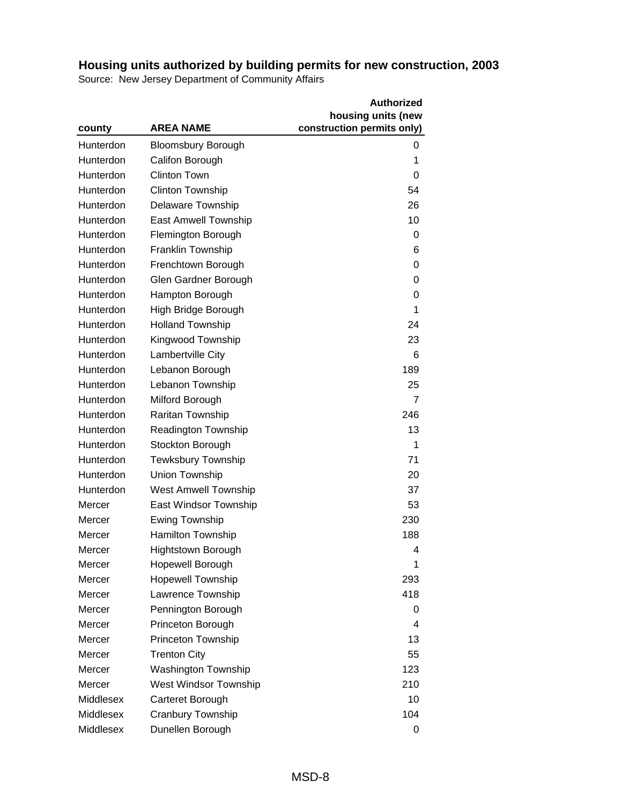|           |                             | <b>Authorized</b>          |
|-----------|-----------------------------|----------------------------|
|           |                             | housing units (new         |
| county    | <b>AREA NAME</b>            | construction permits only) |
| Hunterdon | <b>Bloomsbury Borough</b>   | 0                          |
| Hunterdon | Califon Borough             | 1                          |
| Hunterdon | <b>Clinton Town</b>         | 0                          |
| Hunterdon | <b>Clinton Township</b>     | 54                         |
| Hunterdon | <b>Delaware Township</b>    | 26                         |
| Hunterdon | East Amwell Township        | 10                         |
| Hunterdon | Flemington Borough          | 0                          |
| Hunterdon | Franklin Township           | 6                          |
| Hunterdon | Frenchtown Borough          | 0                          |
| Hunterdon | Glen Gardner Borough        | 0                          |
| Hunterdon | Hampton Borough             | 0                          |
| Hunterdon | High Bridge Borough         | 1                          |
| Hunterdon | <b>Holland Township</b>     | 24                         |
| Hunterdon | Kingwood Township           | 23                         |
| Hunterdon | Lambertville City           | 6                          |
| Hunterdon | Lebanon Borough             | 189                        |
| Hunterdon | Lebanon Township            | 25                         |
| Hunterdon | Milford Borough             | 7                          |
| Hunterdon | Raritan Township            | 246                        |
| Hunterdon | <b>Readington Township</b>  | 13                         |
| Hunterdon | Stockton Borough            | 1                          |
| Hunterdon | <b>Tewksbury Township</b>   | 71                         |
| Hunterdon | Union Township              | 20                         |
| Hunterdon | <b>West Amwell Township</b> | 37                         |
| Mercer    | East Windsor Township       | 53                         |
| Mercer    | <b>Ewing Township</b>       | 230                        |
| Mercer    | <b>Hamilton Township</b>    | 188                        |
| Mercer    | <b>Hightstown Borough</b>   | 4                          |
| Mercer    | Hopewell Borough            | 1                          |
| Mercer    | <b>Hopewell Township</b>    | 293                        |
| Mercer    | Lawrence Township           | 418                        |
| Mercer    | Pennington Borough          | 0                          |
| Mercer    | Princeton Borough           | 4                          |
| Mercer    | Princeton Township          | 13                         |
| Mercer    | <b>Trenton City</b>         | 55                         |
| Mercer    | <b>Washington Township</b>  | 123                        |
| Mercer    | West Windsor Township       | 210                        |
| Middlesex | Carteret Borough            | 10                         |
| Middlesex | Cranbury Township           | 104                        |
| Middlesex | Dunellen Borough            | 0                          |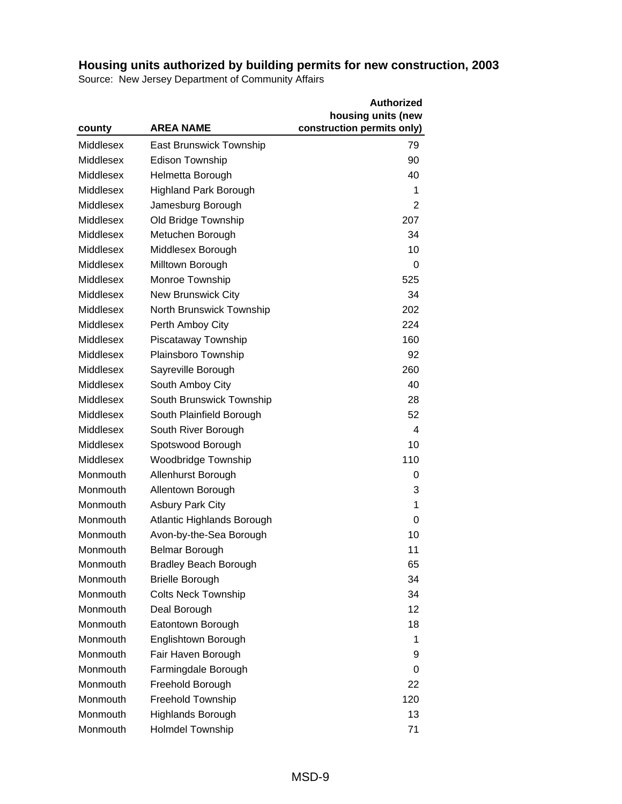|           |                                | <b>Authorized</b>          |
|-----------|--------------------------------|----------------------------|
|           |                                | housing units (new         |
| county    | <b>AREA NAME</b>               | construction permits only) |
| Middlesex | <b>East Brunswick Township</b> | 79                         |
| Middlesex | <b>Edison Township</b>         | 90                         |
| Middlesex | Helmetta Borough               | 40                         |
| Middlesex | <b>Highland Park Borough</b>   | 1                          |
| Middlesex | Jamesburg Borough              | 2                          |
| Middlesex | Old Bridge Township            | 207                        |
| Middlesex | Metuchen Borough               | 34                         |
| Middlesex | Middlesex Borough              | 10                         |
| Middlesex | Milltown Borough               | 0                          |
| Middlesex | Monroe Township                | 525                        |
| Middlesex | <b>New Brunswick City</b>      | 34                         |
| Middlesex | North Brunswick Township       | 202                        |
| Middlesex | Perth Amboy City               | 224                        |
| Middlesex | Piscataway Township            | 160                        |
| Middlesex | Plainsboro Township            | 92                         |
| Middlesex | Sayreville Borough             | 260                        |
| Middlesex | South Amboy City               | 40                         |
| Middlesex | South Brunswick Township       | 28                         |
| Middlesex | South Plainfield Borough       | 52                         |
| Middlesex | South River Borough            | 4                          |
| Middlesex | Spotswood Borough              | 10                         |
| Middlesex | <b>Woodbridge Township</b>     | 110                        |
| Monmouth  | Allenhurst Borough             | 0                          |
| Monmouth  | Allentown Borough              | 3                          |
| Monmouth  | <b>Asbury Park City</b>        | 1                          |
| Monmouth  | Atlantic Highlands Borough     | 0                          |
| Monmouth  | Avon-by-the-Sea Borough        | 10                         |
| Monmouth  | <b>Belmar Borough</b>          | 11                         |
| Monmouth  | <b>Bradley Beach Borough</b>   | 65                         |
| Monmouth  | <b>Brielle Borough</b>         | 34                         |
| Monmouth  | <b>Colts Neck Township</b>     | 34                         |
| Monmouth  | Deal Borough                   | 12                         |
| Monmouth  | Eatontown Borough              | 18                         |
| Monmouth  | Englishtown Borough            | 1                          |
| Monmouth  | Fair Haven Borough             | 9                          |
| Monmouth  | Farmingdale Borough            | $\Omega$                   |
| Monmouth  | Freehold Borough               | 22                         |
| Monmouth  | Freehold Township              | 120                        |
| Monmouth  | <b>Highlands Borough</b>       | 13                         |
| Monmouth  | <b>Holmdel Township</b>        | 71                         |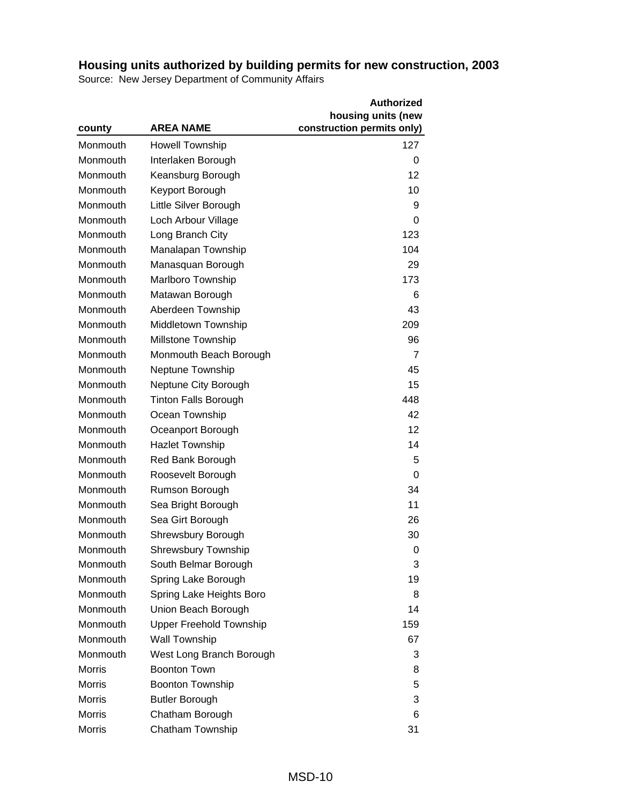|               |                                | <b>Authorized</b>          |
|---------------|--------------------------------|----------------------------|
|               |                                | housing units (new         |
| county        | <b>AREA NAME</b>               | construction permits only) |
| Monmouth      | <b>Howell Township</b>         | 127                        |
| Monmouth      | Interlaken Borough             | 0                          |
| Monmouth      | Keansburg Borough              | 12                         |
| Monmouth      | Keyport Borough                | 10                         |
| Monmouth      | Little Silver Borough          | 9                          |
| Monmouth      | Loch Arbour Village            | 0                          |
| Monmouth      | Long Branch City               | 123                        |
| Monmouth      | Manalapan Township             | 104                        |
| Monmouth      | Manasquan Borough              | 29                         |
| Monmouth      | Marlboro Township              | 173                        |
| Monmouth      | Matawan Borough                | 6                          |
| Monmouth      | Aberdeen Township              | 43                         |
| Monmouth      | Middletown Township            | 209                        |
| Monmouth      | Millstone Township             | 96                         |
| Monmouth      | Monmouth Beach Borough         | 7                          |
| Monmouth      | Neptune Township               | 45                         |
| Monmouth      | Neptune City Borough           | 15                         |
| Monmouth      | <b>Tinton Falls Borough</b>    | 448                        |
| Monmouth      | Ocean Township                 | 42                         |
| Monmouth      | Oceanport Borough              | 12                         |
| Monmouth      | <b>Hazlet Township</b>         | 14                         |
| Monmouth      | Red Bank Borough               | 5                          |
| Monmouth      | Roosevelt Borough              | 0                          |
| Monmouth      | Rumson Borough                 | 34                         |
| Monmouth      | Sea Bright Borough             | 11                         |
| Monmouth      | Sea Girt Borough               | 26                         |
| Monmouth      | Shrewsbury Borough             | 30                         |
| Monmouth      | <b>Shrewsbury Township</b>     | 0                          |
| Monmouth      | South Belmar Borough           | 3                          |
| Monmouth      | Spring Lake Borough            | 19                         |
| Monmouth      | Spring Lake Heights Boro       | 8                          |
| Monmouth      | Union Beach Borough            | 14                         |
| Monmouth      | <b>Upper Freehold Township</b> | 159                        |
| Monmouth      | Wall Township                  | 67                         |
| Monmouth      | West Long Branch Borough       | 3                          |
| <b>Morris</b> | <b>Boonton Town</b>            | 8                          |
| <b>Morris</b> | <b>Boonton Township</b>        | 5                          |
| <b>Morris</b> | <b>Butler Borough</b>          | 3                          |
| <b>Morris</b> | Chatham Borough                | 6                          |
| Morris        | Chatham Township               | 31                         |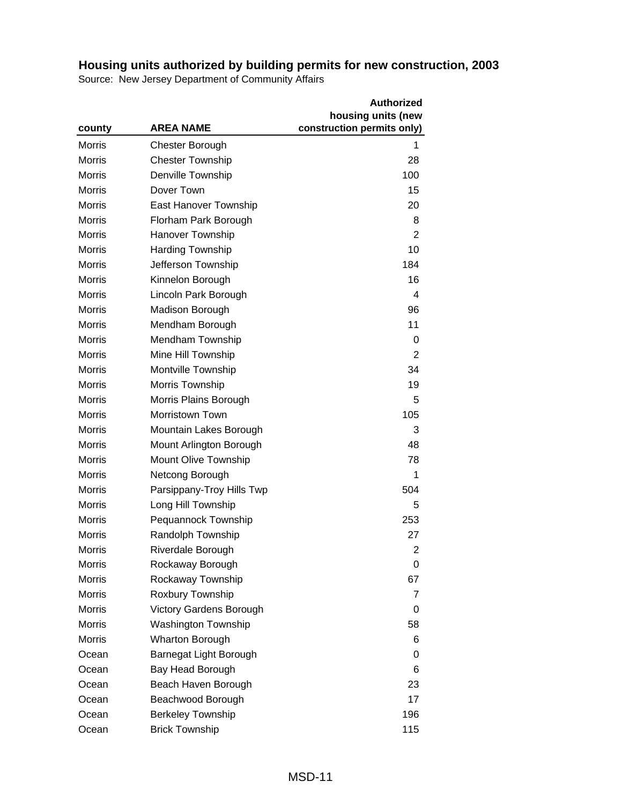|               |                                | <b>Authorized</b>          |
|---------------|--------------------------------|----------------------------|
|               |                                | housing units (new         |
| county        | <b>AREA NAME</b>               | construction permits only) |
| Morris        | Chester Borough                | 1                          |
| <b>Morris</b> | <b>Chester Township</b>        | 28                         |
| <b>Morris</b> | Denville Township              | 100                        |
| <b>Morris</b> | Dover Town                     | 15                         |
| <b>Morris</b> | East Hanover Township          | 20                         |
| <b>Morris</b> | Florham Park Borough           | 8                          |
| <b>Morris</b> | Hanover Township               | 2                          |
| <b>Morris</b> | <b>Harding Township</b>        | 10                         |
| <b>Morris</b> | Jefferson Township             | 184                        |
| <b>Morris</b> | Kinnelon Borough               | 16                         |
| <b>Morris</b> | Lincoln Park Borough           | $\overline{4}$             |
| <b>Morris</b> | <b>Madison Borough</b>         | 96                         |
| <b>Morris</b> | Mendham Borough                | 11                         |
| <b>Morris</b> | Mendham Township               | 0                          |
| <b>Morris</b> | Mine Hill Township             | $\overline{2}$             |
| <b>Morris</b> | Montville Township             | 34                         |
| <b>Morris</b> | Morris Township                | 19                         |
| <b>Morris</b> | Morris Plains Borough          | 5                          |
| <b>Morris</b> | <b>Morristown Town</b>         | 105                        |
| <b>Morris</b> | Mountain Lakes Borough         | 3                          |
| <b>Morris</b> | Mount Arlington Borough        | 48                         |
| <b>Morris</b> | Mount Olive Township           | 78                         |
| <b>Morris</b> | Netcong Borough                | 1                          |
| <b>Morris</b> | Parsippany-Troy Hills Twp      | 504                        |
| <b>Morris</b> | Long Hill Township             | 5                          |
| <b>Morris</b> | Pequannock Township            | 253                        |
| <b>Morris</b> | Randolph Township              | 27                         |
| Morris        | Riverdale Borough              | 2                          |
| Morris        | Rockaway Borough               | 0                          |
| <b>Morris</b> | Rockaway Township              | 67                         |
| <b>Morris</b> | Roxbury Township               | 7                          |
| <b>Morris</b> | <b>Victory Gardens Borough</b> | 0                          |
| <b>Morris</b> | <b>Washington Township</b>     | 58                         |
| <b>Morris</b> | <b>Wharton Borough</b>         | 6                          |
| Ocean         | Barnegat Light Borough         | 0                          |
| Ocean         | Bay Head Borough               | 6                          |
| Ocean         | Beach Haven Borough            | 23                         |
| Ocean         | Beachwood Borough              | 17                         |
| Ocean         | <b>Berkeley Township</b>       | 196                        |
| Ocean         | <b>Brick Township</b>          | 115                        |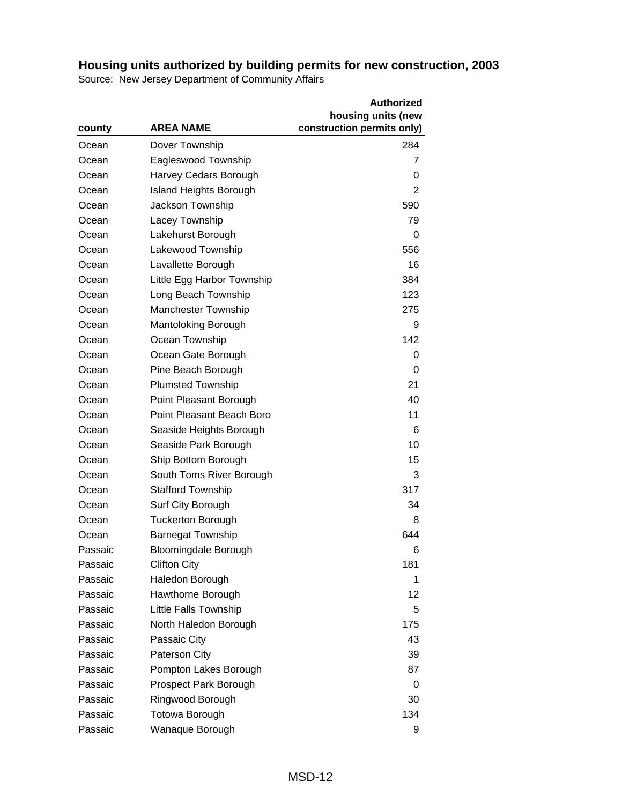|         |                               | <b>Authorized</b>          |
|---------|-------------------------------|----------------------------|
|         |                               | housing units (new         |
| county  | <b>AREA NAME</b>              | construction permits only) |
| Ocean   | Dover Township                | 284                        |
| Ocean   | Eagleswood Township           | 7                          |
| Ocean   | Harvey Cedars Borough         | 0                          |
| Ocean   | <b>Island Heights Borough</b> | 2                          |
| Ocean   | Jackson Township              | 590                        |
| Ocean   | Lacey Township                | 79                         |
| Ocean   | Lakehurst Borough             | 0                          |
| Ocean   | Lakewood Township             | 556                        |
| Ocean   | Lavallette Borough            | 16                         |
| Ocean   | Little Egg Harbor Township    | 384                        |
| Ocean   | Long Beach Township           | 123                        |
| Ocean   | <b>Manchester Township</b>    | 275                        |
| Ocean   | Mantoloking Borough           | 9                          |
| Ocean   | Ocean Township                | 142                        |
| Ocean   | Ocean Gate Borough            | 0                          |
| Ocean   | Pine Beach Borough            | 0                          |
| Ocean   | <b>Plumsted Township</b>      | 21                         |
| Ocean   | Point Pleasant Borough        | 40                         |
| Ocean   | Point Pleasant Beach Boro     | 11                         |
| Ocean   | Seaside Heights Borough       | 6                          |
| Ocean   | Seaside Park Borough          | 10                         |
| Ocean   | Ship Bottom Borough           | 15                         |
| Ocean   | South Toms River Borough      | 3                          |
| Ocean   | <b>Stafford Township</b>      | 317                        |
| Ocean   | Surf City Borough             | 34                         |
| Ocean   | <b>Tuckerton Borough</b>      | 8                          |
| Ocean   | <b>Barnegat Township</b>      | 644                        |
| Passaic | <b>Bloomingdale Borough</b>   | 6                          |
| Passaic | <b>Clifton City</b>           | 181                        |
| Passaic | Haledon Borough               | 1                          |
| Passaic | Hawthorne Borough             | 12                         |
| Passaic | Little Falls Township         | 5                          |
| Passaic | North Haledon Borough         | 175                        |
| Passaic | Passaic City                  | 43                         |
| Passaic | <b>Paterson City</b>          | 39                         |
| Passaic | Pompton Lakes Borough         | 87                         |
| Passaic | Prospect Park Borough         | 0                          |
| Passaic | Ringwood Borough              | 30                         |
| Passaic | Totowa Borough                | 134                        |
| Passaic | Wanaque Borough               | 9                          |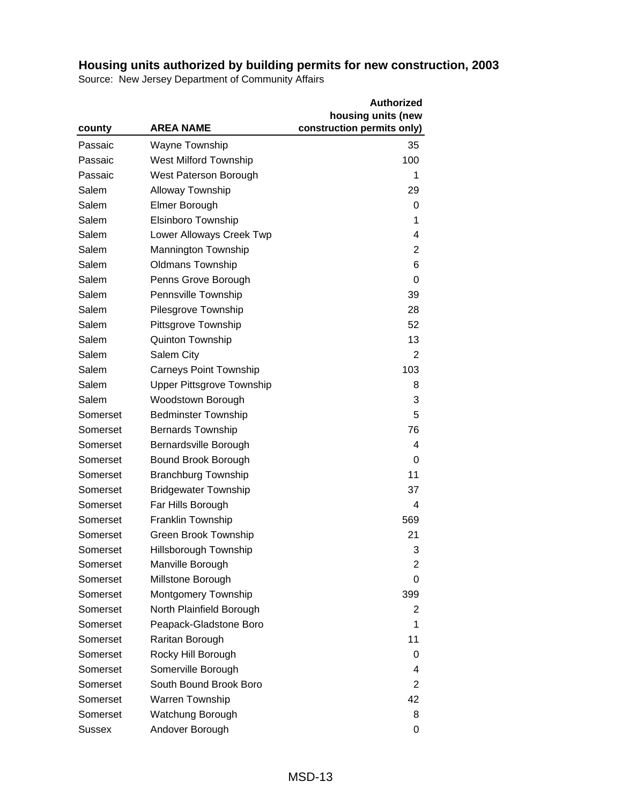|               |                                  | <b>Authorized</b>          |
|---------------|----------------------------------|----------------------------|
|               |                                  | housing units (new         |
| county        | <b>AREA NAME</b>                 | construction permits only) |
| Passaic       | <b>Wayne Township</b>            | 35                         |
| Passaic       | <b>West Milford Township</b>     | 100                        |
| Passaic       | West Paterson Borough            | 1                          |
| Salem         | <b>Alloway Township</b>          | 29                         |
| Salem         | Elmer Borough                    | 0                          |
| Salem         | Elsinboro Township               | 1                          |
| Salem         | Lower Alloways Creek Twp         | 4                          |
| Salem         | <b>Mannington Township</b>       | $\overline{2}$             |
| Salem         | <b>Oldmans Township</b>          | 6                          |
| Salem         | Penns Grove Borough              | 0                          |
| Salem         | Pennsville Township              | 39                         |
| Salem         | Pilesgrove Township              | 28                         |
| Salem         | Pittsgrove Township              | 52                         |
| Salem         | Quinton Township                 | 13                         |
| Salem         | Salem City                       | $\overline{2}$             |
| Salem         | <b>Carneys Point Township</b>    | 103                        |
| Salem         | <b>Upper Pittsgrove Township</b> | 8                          |
| Salem         | Woodstown Borough                | 3                          |
| Somerset      | <b>Bedminster Township</b>       | 5                          |
| Somerset      | <b>Bernards Township</b>         | 76                         |
| Somerset      | Bernardsville Borough            | 4                          |
| Somerset      | Bound Brook Borough              | 0                          |
| Somerset      | <b>Branchburg Township</b>       | 11                         |
| Somerset      | <b>Bridgewater Township</b>      | 37                         |
| Somerset      | Far Hills Borough                | $\overline{4}$             |
| Somerset      | Franklin Township                | 569                        |
| Somerset      | Green Brook Township             | 21                         |
| Somerset      | Hillsborough Township            | 3                          |
| Somerset      | Manville Borough                 | 2                          |
| Somerset      | Millstone Borough                | 0                          |
| Somerset      | Montgomery Township              | 399                        |
| Somerset      | North Plainfield Borough         | 2                          |
| Somerset      | Peapack-Gladstone Boro           | 1                          |
| Somerset      | Raritan Borough                  | 11                         |
| Somerset      | Rocky Hill Borough               | 0                          |
| Somerset      | Somerville Borough               | 4                          |
| Somerset      | South Bound Brook Boro           | 2                          |
| Somerset      | <b>Warren Township</b>           | 42                         |
| Somerset      | Watchung Borough                 | 8                          |
| <b>Sussex</b> | Andover Borough                  | 0                          |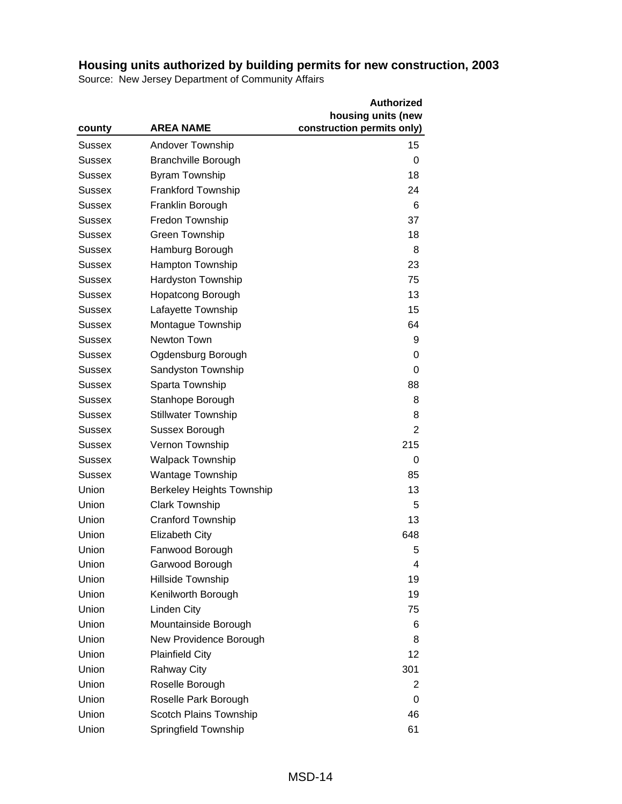|               |                                  | <b>Authorized</b>          |
|---------------|----------------------------------|----------------------------|
|               |                                  | housing units (new         |
| county        | <b>AREA NAME</b>                 | construction permits only) |
| Sussex        | Andover Township                 | 15                         |
| Sussex        | <b>Branchville Borough</b>       | 0                          |
| Sussex        | <b>Byram Township</b>            | 18                         |
| Sussex        | <b>Frankford Township</b>        | 24                         |
| Sussex        | Franklin Borough                 | 6                          |
| <b>Sussex</b> | Fredon Township                  | 37                         |
| Sussex        | Green Township                   | 18                         |
| Sussex        | Hamburg Borough                  | 8                          |
| Sussex        | Hampton Township                 | 23                         |
| <b>Sussex</b> | Hardyston Township               | 75                         |
| <b>Sussex</b> | <b>Hopatcong Borough</b>         | 13                         |
| Sussex        | Lafayette Township               | 15                         |
| Sussex        | Montague Township                | 64                         |
| <b>Sussex</b> | Newton Town                      | 9                          |
| Sussex        | Ogdensburg Borough               | 0                          |
| Sussex        | Sandyston Township               | 0                          |
| Sussex        | Sparta Township                  | 88                         |
| Sussex        | Stanhope Borough                 | 8                          |
| <b>Sussex</b> | <b>Stillwater Township</b>       | 8                          |
| Sussex        | Sussex Borough                   | 2                          |
| Sussex        | Vernon Township                  | 215                        |
| Sussex        | <b>Walpack Township</b>          | 0                          |
| <b>Sussex</b> | <b>Wantage Township</b>          | 85                         |
| Union         | <b>Berkeley Heights Township</b> | 13                         |
| Union         | <b>Clark Township</b>            | 5                          |
| Union         | Cranford Township                | 13                         |
| Union         | <b>Elizabeth City</b>            | 648                        |
| Union         | Fanwood Borough                  | 5                          |
| Union         | Garwood Borough                  | 4                          |
| Union         | Hillside Township                | 19                         |
| Union         | Kenilworth Borough               | 19                         |
| Union         | Linden City                      | 75                         |
| Union         | Mountainside Borough             | 6                          |
| Union         | New Providence Borough           | 8                          |
| Union         | <b>Plainfield City</b>           | 12                         |
| Union         | <b>Rahway City</b>               | 301                        |
| Union         | Roselle Borough                  | 2                          |
| Union         | Roselle Park Borough             | 0                          |
| Union         | Scotch Plains Township           | 46                         |
| Union         | Springfield Township             | 61                         |
|               |                                  |                            |